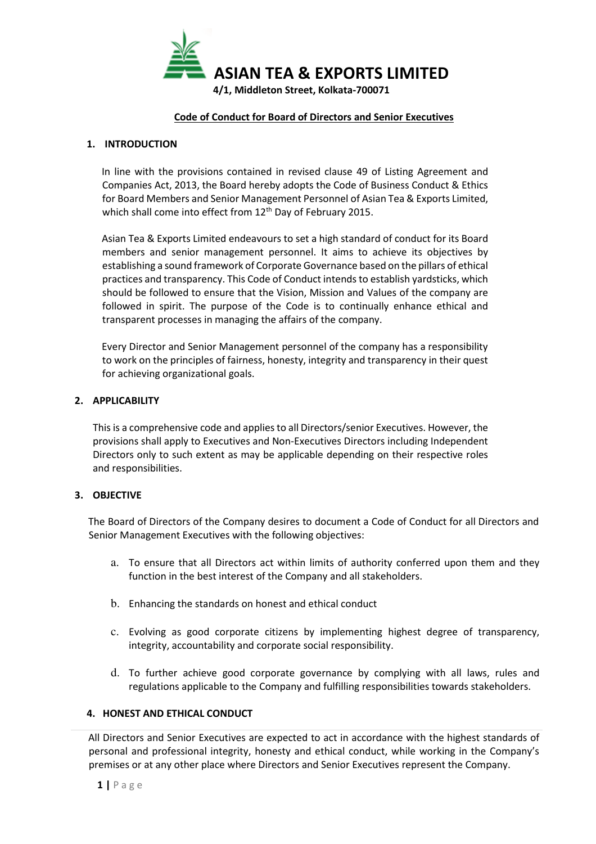

#### Code of Conduct for Board of Directors and Senior Executives

#### 1. INTRODUCTION

In line with the provisions contained in revised clause 49 of Listing Agreement and Companies Act, 2013, the Board hereby adopts the Code of Business Conduct & Ethics for Board Members and Senior Management Personnel of Asian Tea & Exports Limited, which shall come into effect from 12<sup>th</sup> Day of February 2015.

Asian Tea & Exports Limited endeavours to set a high standard of conduct for its Board members and senior management personnel. It aims to achieve its objectives by establishing a sound framework of Corporate Governance based on the pillars of ethical practices and transparency. This Code of Conduct intends to establish yardsticks, which should be followed to ensure that the Vision, Mission and Values of the company are followed in spirit. The purpose of the Code is to continually enhance ethical and transparent processes in managing the affairs of the company.

Every Director and Senior Management personnel of the company has a responsibility to work on the principles of fairness, honesty, integrity and transparency in their quest for achieving organizational goals.

#### 2. APPLICABILITY

This is a comprehensive code and applies to all Directors/senior Executives. However, the provisions shall apply to Executives and Non-Executives Directors including Independent Directors only to such extent as may be applicable depending on their respective roles and responsibilities.

#### 3. OBJECTIVE

The Board of Directors of the Company desires to document a Code of Conduct for all Directors and Senior Management Executives with the following objectives:

- a. To ensure that all Directors act within limits of authority conferred upon them and they function in the best interest of the Company and all stakeholders.
- b. Enhancing the standards on honest and ethical conduct
- c. Evolving as good corporate citizens by implementing highest degree of transparency, integrity, accountability and corporate social responsibility.
- d. To further achieve good corporate governance by complying with all laws, rules and regulations applicable to the Company and fulfilling responsibilities towards stakeholders.

#### 4. HONEST AND ETHICAL CONDUCT

All Directors and Senior Executives are expected to act in accordance with the highest standards of personal and professional integrity, honesty and ethical conduct, while working in the Company's premises or at any other place where Directors and Senior Executives represent the Company.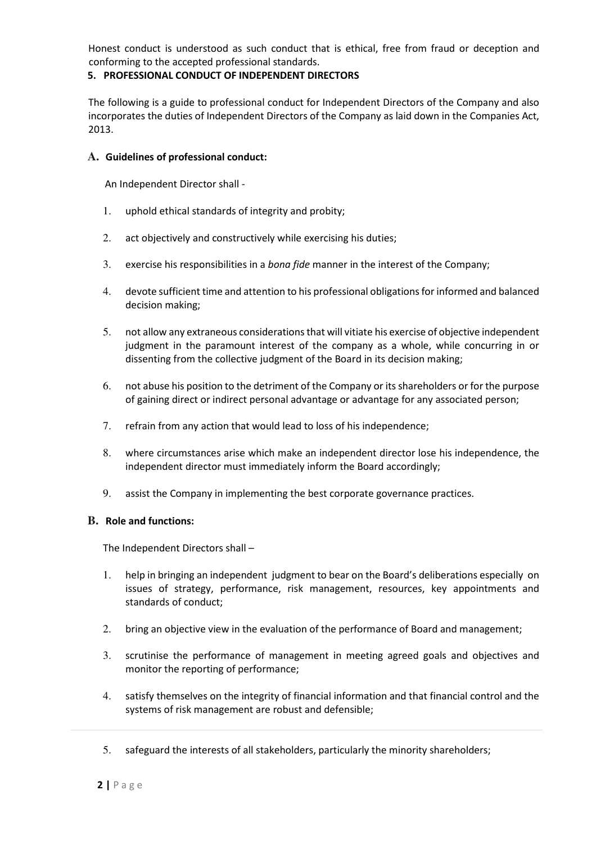Honest conduct is understood as such conduct that is ethical, free from fraud or deception and conforming to the accepted professional standards.

## 5. PROFESSIONAL CONDUCT OF INDEPENDENT DIRECTORS

The following is a guide to professional conduct for Independent Directors of the Company and also incorporates the duties of Independent Directors of the Company as laid down in the Companies Act, 2013.

### **A.** Guidelines of professional conduct:

An Independent Director shall -

- 1. uphold ethical standards of integrity and probity;
- 2. act objectively and constructively while exercising his duties;
- 3. exercise his responsibilities in a bona fide manner in the interest of the Company;
- 4. devote sufficient time and attention to his professional obligations for informed and balanced decision making;
- 5. not allow any extraneous considerations that will vitiate his exercise of objective independent judgment in the paramount interest of the company as a whole, while concurring in or dissenting from the collective judgment of the Board in its decision making;
- 6. not abuse his position to the detriment of the Company or its shareholders or for the purpose of gaining direct or indirect personal advantage or advantage for any associated person;
- 7. refrain from any action that would lead to loss of his independence;
- 8. where circumstances arise which make an independent director lose his independence, the independent director must immediately inform the Board accordingly;
- 9. assist the Company in implementing the best corporate governance practices.

#### **B.** Role and functions:

The Independent Directors shall –

- 1. help in bringing an independent judgment to bear on the Board's deliberations especially on issues of strategy, performance, risk management, resources, key appointments and standards of conduct;
- 2. bring an objective view in the evaluation of the performance of Board and management;
- 3. scrutinise the performance of management in meeting agreed goals and objectives and monitor the reporting of performance;
- 4. satisfy themselves on the integrity of financial information and that financial control and the systems of risk management are robust and defensible;
- 5. safeguard the interests of all stakeholders, particularly the minority shareholders;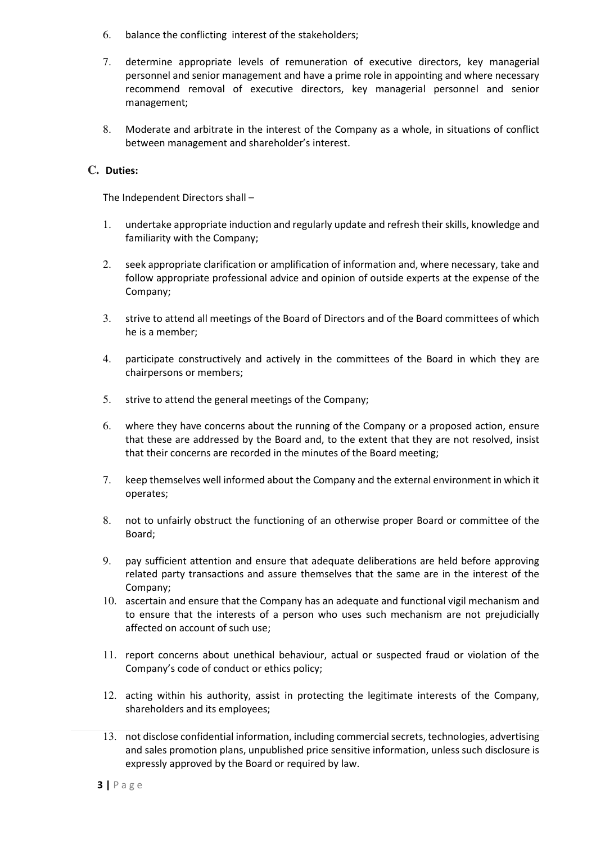- 6. balance the conflicting interest of the stakeholders;
- 7. determine appropriate levels of remuneration of executive directors, key managerial personnel and senior management and have a prime role in appointing and where necessary recommend removal of executive directors, key managerial personnel and senior management;
- 8. Moderate and arbitrate in the interest of the Company as a whole, in situations of conflict between management and shareholder's interest.

# **C.** Duties:

The Independent Directors shall –

- 1. undertake appropriate induction and regularly update and refresh their skills, knowledge and familiarity with the Company;
- 2. seek appropriate clarification or amplification of information and, where necessary, take and follow appropriate professional advice and opinion of outside experts at the expense of the Company;
- 3. strive to attend all meetings of the Board of Directors and of the Board committees of which he is a member;
- 4. participate constructively and actively in the committees of the Board in which they are chairpersons or members;
- 5. strive to attend the general meetings of the Company;
- 6. where they have concerns about the running of the Company or a proposed action, ensure that these are addressed by the Board and, to the extent that they are not resolved, insist that their concerns are recorded in the minutes of the Board meeting;
- 7. keep themselves well informed about the Company and the external environment in which it operates;
- 8. not to unfairly obstruct the functioning of an otherwise proper Board or committee of the Board;
- 9. pay sufficient attention and ensure that adequate deliberations are held before approving related party transactions and assure themselves that the same are in the interest of the Company;
- 10. ascertain and ensure that the Company has an adequate and functional vigil mechanism and to ensure that the interests of a person who uses such mechanism are not prejudicially affected on account of such use;
- 11. report concerns about unethical behaviour, actual or suspected fraud or violation of the Company's code of conduct or ethics policy;
- 12. acting within his authority, assist in protecting the legitimate interests of the Company, shareholders and its employees;
- 13. not disclose confidential information, including commercial secrets, technologies, advertising and sales promotion plans, unpublished price sensitive information, unless such disclosure is expressly approved by the Board or required by law.